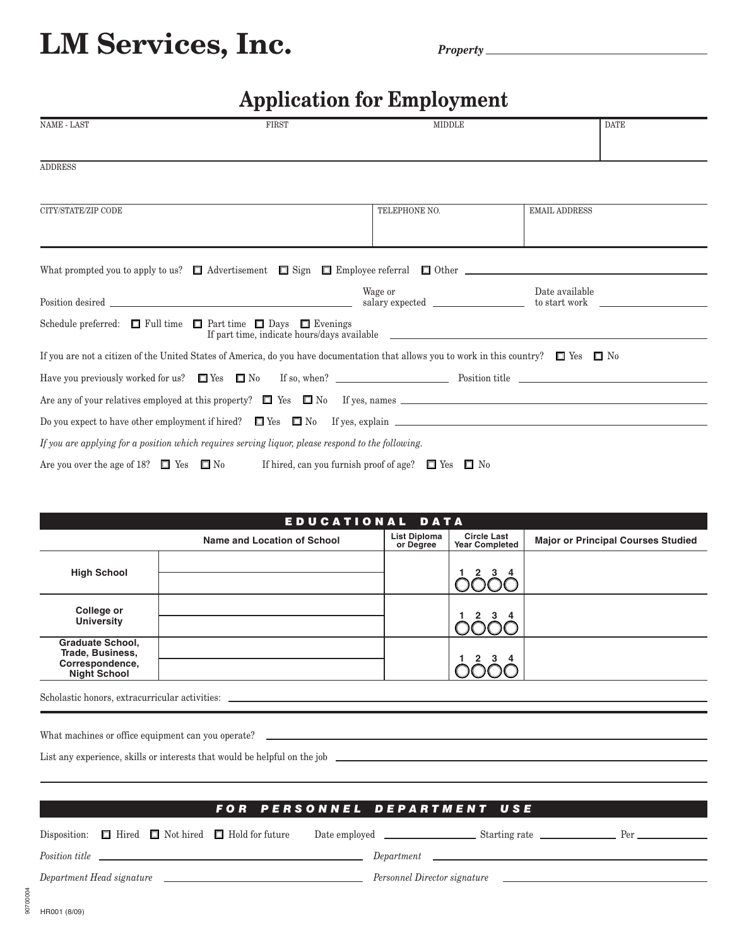## LM Services, Inc.

## **Application for Employment**

| NAME - LAST                                                                       | <b>FIRST</b>                                                                                                                                            | <b>MIDDLE</b>                                                | <b>DATE</b>                                                                           |
|-----------------------------------------------------------------------------------|---------------------------------------------------------------------------------------------------------------------------------------------------------|--------------------------------------------------------------|---------------------------------------------------------------------------------------|
|                                                                                   |                                                                                                                                                         |                                                              |                                                                                       |
| <b>ADDRESS</b>                                                                    |                                                                                                                                                         |                                                              |                                                                                       |
|                                                                                   |                                                                                                                                                         |                                                              |                                                                                       |
| CITY/STATE/ZIP CODE                                                               |                                                                                                                                                         | TELEPHONE NO.                                                | <b>EMAIL ADDRESS</b>                                                                  |
|                                                                                   |                                                                                                                                                         |                                                              |                                                                                       |
|                                                                                   | What prompted you to apply to us? $\Box$ Advertisement $\Box$ Sign $\Box$ Employee referral $\Box$ Other $\Box$                                         |                                                              |                                                                                       |
|                                                                                   |                                                                                                                                                         | Wage or                                                      | Date available                                                                        |
|                                                                                   |                                                                                                                                                         |                                                              |                                                                                       |
| Schedule preferred: $\Box$ Full time $\Box$ Part time $\Box$ Days $\Box$ Evenings |                                                                                                                                                         |                                                              |                                                                                       |
|                                                                                   | If you are not a citizen of the United States of America, do you have documentation that allows you to work in this country? $\square$ Yes $\square$ No |                                                              |                                                                                       |
|                                                                                   |                                                                                                                                                         |                                                              |                                                                                       |
|                                                                                   |                                                                                                                                                         |                                                              |                                                                                       |
|                                                                                   |                                                                                                                                                         |                                                              | Do you expect to have other employment if hired? $\Box$ Yes $\Box$ No If yes, explain |
|                                                                                   | If you are applying for a position which requires serving liquor, please respond to the following.                                                      |                                                              |                                                                                       |
| Are you over the age of 18? $\Box$ Yes $\Box$ No                                  |                                                                                                                                                         | If hired, can you furnish proof of age? $\Box$ Yes $\Box$ No |                                                                                       |

| EDUCATIONAL DATA                                                                      |                             |                                  |                                             |                                           |  |  |
|---------------------------------------------------------------------------------------|-----------------------------|----------------------------------|---------------------------------------------|-------------------------------------------|--|--|
|                                                                                       | Name and Location of School | <b>List Diploma</b><br>or Degree | <b>Circle Last</b><br><b>Year Completed</b> | <b>Major or Principal Courses Studied</b> |  |  |
| <b>High School</b>                                                                    |                             |                                  |                                             |                                           |  |  |
| College or<br><b>University</b>                                                       |                             |                                  |                                             |                                           |  |  |
| <b>Graduate School,</b><br>Trade, Business,<br>Correspondence,<br><b>Night School</b> |                             |                                  |                                             |                                           |  |  |

Scholastic honors, extracurricular activities:

| FOR PERSONNEL DEPARTMENT USE |  |  |                                                                   |  |                                          |                                                               |  |
|------------------------------|--|--|-------------------------------------------------------------------|--|------------------------------------------|---------------------------------------------------------------|--|
|                              |  |  | Disposition: $\Box$ Hired $\Box$ Not hired $\Box$ Hold for future |  |                                          |                                                               |  |
|                              |  |  | <i>Position title</i>                                             |  | $Department \qquad \qquad \qquad \qquad$ |                                                               |  |
|                              |  |  |                                                                   |  | Personnel Director signature             | <u> 1989 - Andrea State Barbara, president al Indonesia (</u> |  |